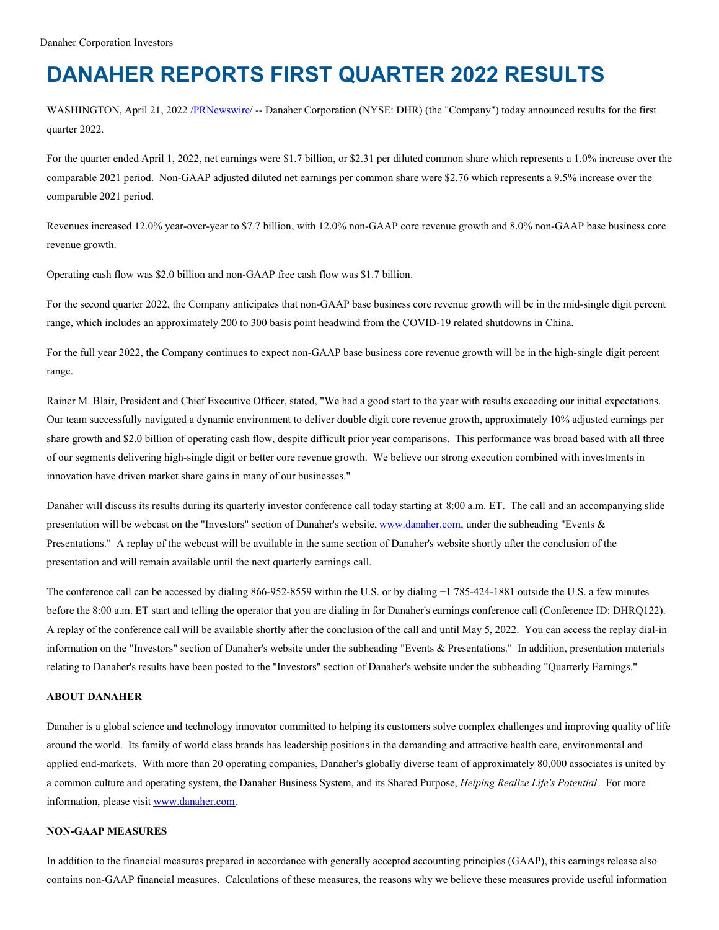# **DANAHER REPORTS FIRST QUARTER 2022 RESULTS**

WASHINGTON, April 21, 2022 [/PRNewswire](http://www.prnewswire.com/)/ -- Danaher Corporation (NYSE: DHR) (the "Company") today announced results for the first quarter 2022.

For the quarter ended April 1, 2022, net earnings were \$1.7 billion, or \$2.31 per diluted common share which represents a 1.0% increase over the comparable 2021 period. Non-GAAP adjusted diluted net earnings per common share were \$2.76 which represents a 9.5% increase over the comparable 2021 period.

Revenues increased 12.0% year-over-year to \$7.7 billion, with 12.0% non-GAAP core revenue growth and 8.0% non-GAAP base business core revenue growth.

Operating cash flow was \$2.0 billion and non-GAAP free cash flow was \$1.7 billion.

For the second quarter 2022, the Company anticipates that non-GAAP base business core revenue growth will be in the mid-single digit percent range, which includes an approximately 200 to 300 basis point headwind from the COVID-19 related shutdowns in China.

For the full year 2022, the Company continues to expect non-GAAP base business core revenue growth will be in the high-single digit percent range.

Rainer M. Blair, President and Chief Executive Officer, stated, "We had a good start to the year with results exceeding our initial expectations. Our team successfully navigated a dynamic environment to deliver double digit core revenue growth, approximately 10% adjusted earnings per share growth and \$2.0 billion of operating cash flow, despite difficult prior year comparisons. This performance was broad based with all three of our segments delivering high-single digit or better core revenue growth. We believe our strong execution combined with investments in innovation have driven market share gains in many of our businesses."

Danaher will discuss its results during its quarterly investor conference call today starting at 8:00 a.m. ET. The call and an accompanying slide presentation will be webcast on the "Investors" section of Danaher's website, [www.danaher.com](http://www.danaher.com), under the subheading "Events & Presentations." A replay of the webcast will be available in the same section of Danaher's website shortly after the conclusion of the presentation and will remain available until the next quarterly earnings call.

The conference call can be accessed by dialing 866-952-8559 within the U.S. or by dialing +1 785-424-1881 outside the U.S. a few minutes before the 8:00 a.m. ET start and telling the operator that you are dialing in for Danaher's earnings conference call (Conference ID: DHRQ122). A replay of the conference call will be available shortly after the conclusion of the call and until May 5, 2022. You can access the replay dial-in information on the "Investors" section of Danaher's website under the subheading "Events & Presentations." In addition, presentation materials relating to Danaher's results have been posted to the "Investors" section of Danaher's website under the subheading "Quarterly Earnings."

# **ABOUT DANAHER**

Danaher is a global science and technology innovator committed to helping its customers solve complex challenges and improving quality of life around the world. Its family of world class brands has leadership positions in the demanding and attractive health care, environmental and applied end-markets. With more than 20 operating companies, Danaher's globally diverse team of approximately 80,000 associates is united by a common culture and operating system, the Danaher Business System, and its Shared Purpose, *Helping Realize Life's Potential*. For more information, please visit [www.danaher.com](http://www.danaher.com).

#### **NON-GAAP MEASURES**

In addition to the financial measures prepared in accordance with generally accepted accounting principles (GAAP), this earnings release also contains non-GAAP financial measures. Calculations of these measures, the reasons why we believe these measures provide useful information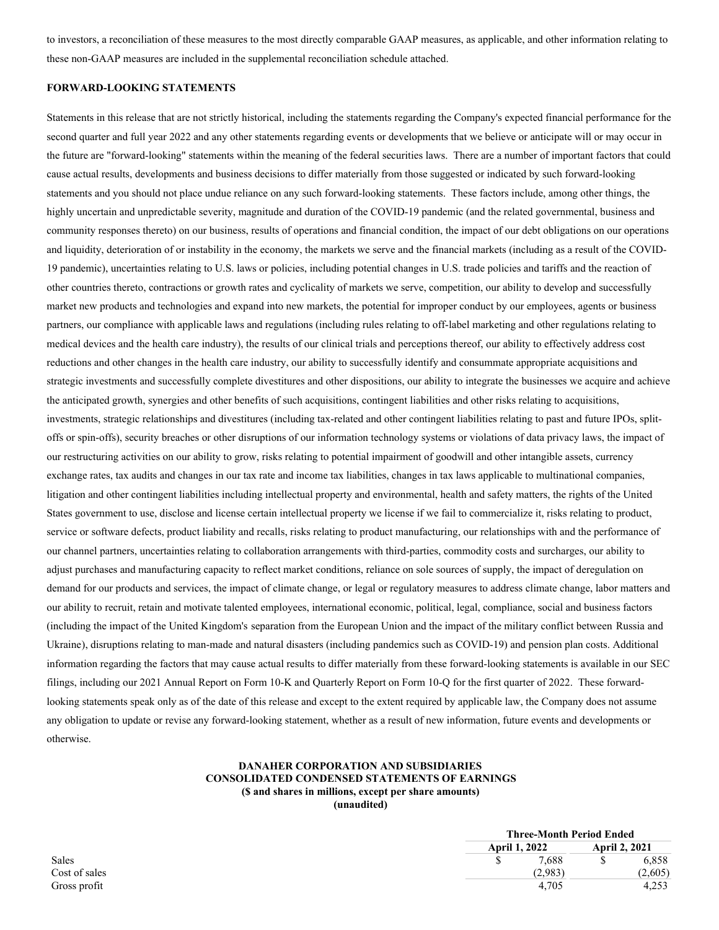to investors, a reconciliation of these measures to the most directly comparable GAAP measures, as applicable, and other information relating to these non-GAAP measures are included in the supplemental reconciliation schedule attached.

#### **FORWARD-LOOKING STATEMENTS**

Statements in this release that are not strictly historical, including the statements regarding the Company's expected financial performance for the second quarter and full year 2022 and any other statements regarding events or developments that we believe or anticipate will or may occur in the future are "forward-looking" statements within the meaning of the federal securities laws. There are a number of important factors that could cause actual results, developments and business decisions to differ materially from those suggested or indicated by such forward-looking statements and you should not place undue reliance on any such forward-looking statements. These factors include, among other things, the highly uncertain and unpredictable severity, magnitude and duration of the COVID-19 pandemic (and the related governmental, business and community responses thereto) on our business, results of operations and financial condition, the impact of our debt obligations on our operations and liquidity, deterioration of or instability in the economy, the markets we serve and the financial markets (including as a result of the COVID-19 pandemic), uncertainties relating to U.S. laws or policies, including potential changes in U.S. trade policies and tariffs and the reaction of other countries thereto, contractions or growth rates and cyclicality of markets we serve, competition, our ability to develop and successfully market new products and technologies and expand into new markets, the potential for improper conduct by our employees, agents or business partners, our compliance with applicable laws and regulations (including rules relating to off-label marketing and other regulations relating to medical devices and the health care industry), the results of our clinical trials and perceptions thereof, our ability to effectively address cost reductions and other changes in the health care industry, our ability to successfully identify and consummate appropriate acquisitions and strategic investments and successfully complete divestitures and other dispositions, our ability to integrate the businesses we acquire and achieve the anticipated growth, synergies and other benefits of such acquisitions, contingent liabilities and other risks relating to acquisitions, investments, strategic relationships and divestitures (including tax-related and other contingent liabilities relating to past and future IPOs, splitoffs or spin-offs), security breaches or other disruptions of our information technology systems or violations of data privacy laws, the impact of our restructuring activities on our ability to grow, risks relating to potential impairment of goodwill and other intangible assets, currency exchange rates, tax audits and changes in our tax rate and income tax liabilities, changes in tax laws applicable to multinational companies, litigation and other contingent liabilities including intellectual property and environmental, health and safety matters, the rights of the United States government to use, disclose and license certain intellectual property we license if we fail to commercialize it, risks relating to product, service or software defects, product liability and recalls, risks relating to product manufacturing, our relationships with and the performance of our channel partners, uncertainties relating to collaboration arrangements with third-parties, commodity costs and surcharges, our ability to adjust purchases and manufacturing capacity to reflect market conditions, reliance on sole sources of supply, the impact of deregulation on demand for our products and services, the impact of climate change, or legal or regulatory measures to address climate change, labor matters and our ability to recruit, retain and motivate talented employees, international economic, political, legal, compliance, social and business factors (including the impact of the United Kingdom's separation from the European Union and the impact of the military conflict between Russia and Ukraine), disruptions relating to man-made and natural disasters (including pandemics such as COVID-19) and pension plan costs. Additional information regarding the factors that may cause actual results to differ materially from these forward-looking statements is available in our SEC filings, including our 2021 Annual Report on Form 10-K and Quarterly Report on Form 10-Q for the first quarter of 2022. These forwardlooking statements speak only as of the date of this release and except to the extent required by applicable law, the Company does not assume any obligation to update or revise any forward-looking statement, whether as a result of new information, future events and developments or otherwise.

# **DANAHER CORPORATION AND SUBSIDIARIES CONSOLIDATED CONDENSED STATEMENTS OF EARNINGS (\$ and shares in millions, except per share amounts)**

**(unaudited)**

|               |                      | <b>Three-Month Period Ended</b> |         |  |  |
|---------------|----------------------|---------------------------------|---------|--|--|
|               | <b>April 1, 2022</b> | <b>April 2, 2021</b>            |         |  |  |
| Sales         | 7.688                |                                 | 6,858   |  |  |
| Cost of sales | (2.983)              |                                 | (2.605) |  |  |
| Gross profit  | 4.705                |                                 | 4.253   |  |  |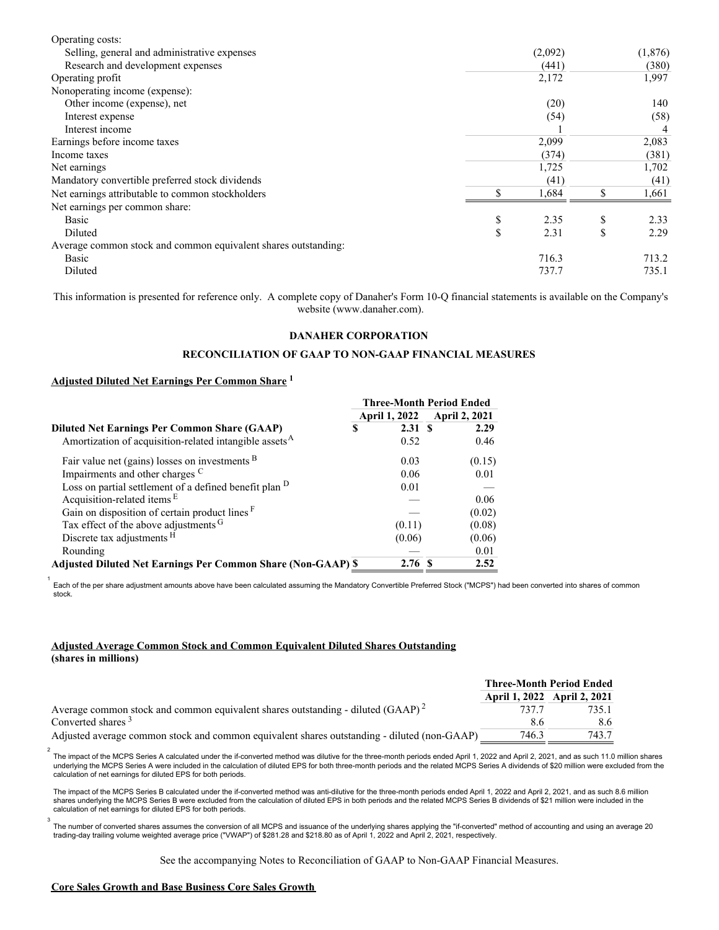| Operating costs:                                               |            |               |         |
|----------------------------------------------------------------|------------|---------------|---------|
| Selling, general and administrative expenses                   | (2,092)    |               | (1,876) |
| Research and development expenses                              | (441)      |               | (380)   |
| Operating profit                                               | 2,172      |               | 1,997   |
| Nonoperating income (expense):                                 |            |               |         |
| Other income (expense), net                                    | (20)       |               | 140     |
| Interest expense                                               | (54)       |               | (58)    |
| Interest income                                                |            |               |         |
| Earnings before income taxes                                   | 2,099      |               | 2,083   |
| Income taxes                                                   | (374)      |               | (381)   |
| Net earnings                                                   | 1,725      |               | 1,702   |
| Mandatory convertible preferred stock dividends                | (41)       |               | (41)    |
| Net earnings attributable to common stockholders               | 1,684      |               | 1,661   |
| Net earnings per common share:                                 |            |               |         |
| Basic                                                          | \$<br>2.35 | \$            | 2.33    |
| Diluted                                                        | \$<br>2.31 | <sup>\$</sup> | 2.29    |
| Average common stock and common equivalent shares outstanding: |            |               |         |
| Basic                                                          | 716.3      |               | 713.2   |
| Diluted                                                        | 737.7      |               | 735.1   |
|                                                                |            |               |         |

This information is presented for reference only. A complete copy of Danaher's Form 10-Q financial statements is available on the Company's website (www.danaher.com).

#### **DANAHER CORPORATION**

## **RECONCILIATION OF GAAP TO NON-GAAP FINANCIAL MEASURES**

# **Adjusted Diluted Net Earnings Per Common Share 1**

|                                                                     | <b>Three-Month Period Ended</b> |                      |  |
|---------------------------------------------------------------------|---------------------------------|----------------------|--|
|                                                                     | April 1, 2022                   | <b>April 2, 2021</b> |  |
| <b>Diluted Net Earnings Per Common Share (GAAP)</b>                 | 2.31S<br>\$                     | 2.29                 |  |
| Amortization of acquisition-related intangible assets <sup>A</sup>  | 0.52                            | 0.46                 |  |
| Fair value net (gains) losses on investments $B$                    | 0.03                            | (0.15)               |  |
| Impairments and other charges C                                     | 0.06                            | 0.01                 |  |
| Loss on partial settlement of a defined benefit plan <sup>D</sup>   | 0.01                            |                      |  |
| Acquisition-related items E                                         |                                 | 0.06                 |  |
| Gain on disposition of certain product lines F                      |                                 | (0.02)               |  |
| Tax effect of the above adjustments G                               | (0.11)                          | (0.08)               |  |
| Discrete tax adjustments <sup>H</sup>                               | (0.06)                          | (0.06)               |  |
| Rounding                                                            |                                 | 0.01                 |  |
| <b>Adjusted Diluted Net Earnings Per Common Share (Non-GAAP) \$</b> | 2.76S                           | 2.52                 |  |

1<br>Each of the per share adjustment amounts above have been calculated assuming the Mandatory Convertible Preferred Stock ("MCPS") had been converted into shares of common stock.

## **Adjusted Average Common Stock and Common Equivalent Diluted Shares Outstanding (shares in millions)**

|                                                                                             | <b>Three-Month Period Ended</b> |                             |  |
|---------------------------------------------------------------------------------------------|---------------------------------|-----------------------------|--|
|                                                                                             |                                 | April 1, 2022 April 2, 2021 |  |
| Average common stock and common equivalent shares outstanding - diluted $(GAP)^2$           | 737 7                           | 735.1                       |  |
| Converted shares <sup>3</sup>                                                               | 8.6                             | 8.6                         |  |
| Adjusted average common stock and common equivalent shares outstanding - diluted (non-GAAP) | 746.3                           | 743.7                       |  |

The impact of the MCPS Series A calculated under the if-converted method was dilutive for the three-month periods ended April 1, 2022 and April 2, 2021, and as such 11.0 million shares 2 underlying the MCPS Series A were included in the calculation of diluted EPS for both three-month periods and the related MCPS Series A dividends of \$20 million were excluded from the calculation of net earnings for diluted EPS for both periods.

The impact of the MCPS Series B calculated under the if-converted method was anti-dilutive for the three-month periods ended April 1, 2022 and April 2, 2021, and as such 8.6 million shares underlying the MCPS Series B were excluded from the calculation of diluted EPS in both periods and the related MCPS Series B dividends of \$21 million were included in the calculation of net earnings for diluted EPS for both periods.

The number of converted shares assumes the conversion of all MCPS and issuance of the underlying shares applying the "if-converted" method of accounting and using an average 20 trading-day trailing volume weighted average price ("VWAP") of \$281.28 and \$218.80 as of April 1, 2022 and April 2, 2021, respectively.

See the accompanying Notes to Reconciliation of GAAP to Non-GAAP Financial Measures.

#### **Core Sales Growth and Base Business Core Sales Growth**

 $\overline{a}$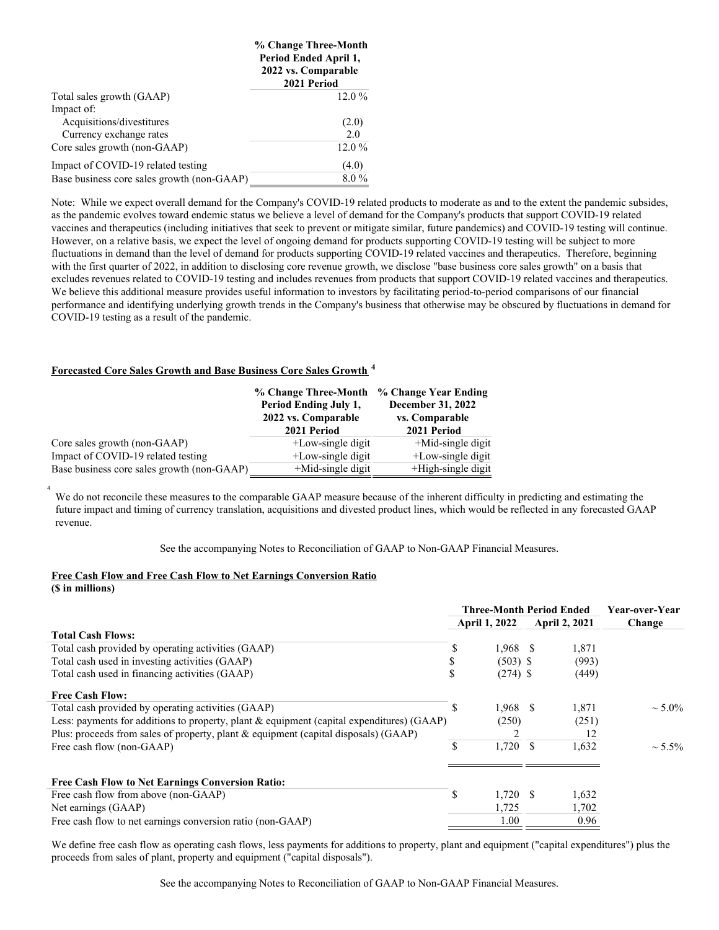|                                            | % Change Three-Month<br>Period Ended April 1,<br>2022 vs. Comparable<br>2021 Period |
|--------------------------------------------|-------------------------------------------------------------------------------------|
| Total sales growth (GAAP)                  | $12.0\%$                                                                            |
| Impact of:                                 |                                                                                     |
| Acquisitions/divestitures                  | (2.0)                                                                               |
| Currency exchange rates                    | 2.0                                                                                 |
| Core sales growth (non-GAAP)               | $12.0\%$                                                                            |
| Impact of COVID-19 related testing         | (4.0)                                                                               |
| Base business core sales growth (non-GAAP) | $8.0\%$                                                                             |

Note: While we expect overall demand for the Company's COVID-19 related products to moderate as and to the extent the pandemic subsides, as the pandemic evolves toward endemic status we believe a level of demand for the Company's products that support COVID-19 related vaccines and therapeutics (including initiatives that seek to prevent or mitigate similar, future pandemics) and COVID-19 testing will continue. However, on a relative basis, we expect the level of ongoing demand for products supporting COVID-19 testing will be subject to more fluctuations in demand than the level of demand for products supporting COVID-19 related vaccines and therapeutics. Therefore, beginning with the first quarter of 2022, in addition to disclosing core revenue growth, we disclose "base business core sales growth" on a basis that excludes revenues related to COVID-19 testing and includes revenues from products that support COVID-19 related vaccines and therapeutics. We believe this additional measure provides useful information to investors by facilitating period-to-period comparisons of our financial performance and identifying underlying growth trends in the Company's business that otherwise may be obscured by fluctuations in demand for COVID-19 testing as a result of the pandemic.

# **Forecasted Core Sales Growth and Base Business Core Sales Growth 4**

|                                            | % Change Three-Month  | % Change Year Ending  |
|--------------------------------------------|-----------------------|-----------------------|
|                                            | Period Ending July 1, | December 31, 2022     |
|                                            | 2022 vs. Comparable   | vs. Comparable        |
|                                            | 2021 Period           | 2021 Period           |
| Core sales growth (non-GAAP)               | $+$ Low-single digit  | $+$ Mid-single digit  |
| Impact of COVID-19 related testing         | $+$ Low-single digit  | +Low-single digit     |
| Base business core sales growth (non-GAAP) | $+$ Mid-single digit  | $+$ High-single digit |

We do not reconcile these measures to the comparable GAAP measure because of the inherent difficulty in predicting and estimating the future impact and timing of currency translation, acquisitions and divested product lines, which would be reflected in any forecasted GAAP revenue.

See the accompanying Notes to Reconciliation of GAAP to Non-GAAP Financial Measures.

#### **Free Cash Flow and Free Cash Flow to Net Earnings Conversion Ratio (\$ in millions)**

4

|                                                                                           | <b>Three-Month Period Ended</b> |            |                      | Year-over-Year |              |
|-------------------------------------------------------------------------------------------|---------------------------------|------------|----------------------|----------------|--------------|
|                                                                                           | <b>April 1, 2022</b>            |            | <b>April 2, 2021</b> |                | Change       |
| <b>Total Cash Flows:</b>                                                                  |                                 |            |                      |                |              |
| Total cash provided by operating activities (GAAP)                                        |                                 | $1,968$ \$ |                      | 1,871          |              |
| Total cash used in investing activities (GAAP)                                            |                                 | $(503)$ \$ |                      | (993)          |              |
| Total cash used in financing activities (GAAP)                                            | J.                              | $(274)$ \$ |                      | (449)          |              |
| <b>Free Cash Flow:</b>                                                                    |                                 |            |                      |                |              |
| Total cash provided by operating activities (GAAP)                                        |                                 | $1,968$ \$ |                      | 1,871          | $\sim 5.0\%$ |
| Less: payments for additions to property, plant & equipment (capital expenditures) (GAAP) |                                 | (250)      |                      | (251)          |              |
| Plus: proceeds from sales of property, plant & equipment (capital disposals) (GAAP)       |                                 |            |                      | 12             |              |
| Free cash flow (non-GAAP)                                                                 | \$                              | $1,720$ \$ |                      | 1,632          | $\sim 5.5\%$ |
|                                                                                           |                                 |            |                      |                |              |
| <b>Free Cash Flow to Net Earnings Conversion Ratio:</b>                                   |                                 |            |                      |                |              |
| Free cash flow from above (non-GAAP)                                                      | \$                              | $1,720$ \$ |                      | 1,632          |              |
| Net earnings (GAAP)                                                                       |                                 | 1,725      |                      | 1,702          |              |
| Free cash flow to net earnings conversion ratio (non-GAAP)                                |                                 | 1.00       |                      | 0.96           |              |

We define free cash flow as operating cash flows, less payments for additions to property, plant and equipment ("capital expenditures") plus the proceeds from sales of plant, property and equipment ("capital disposals").

See the accompanying Notes to Reconciliation of GAAP to Non-GAAP Financial Measures.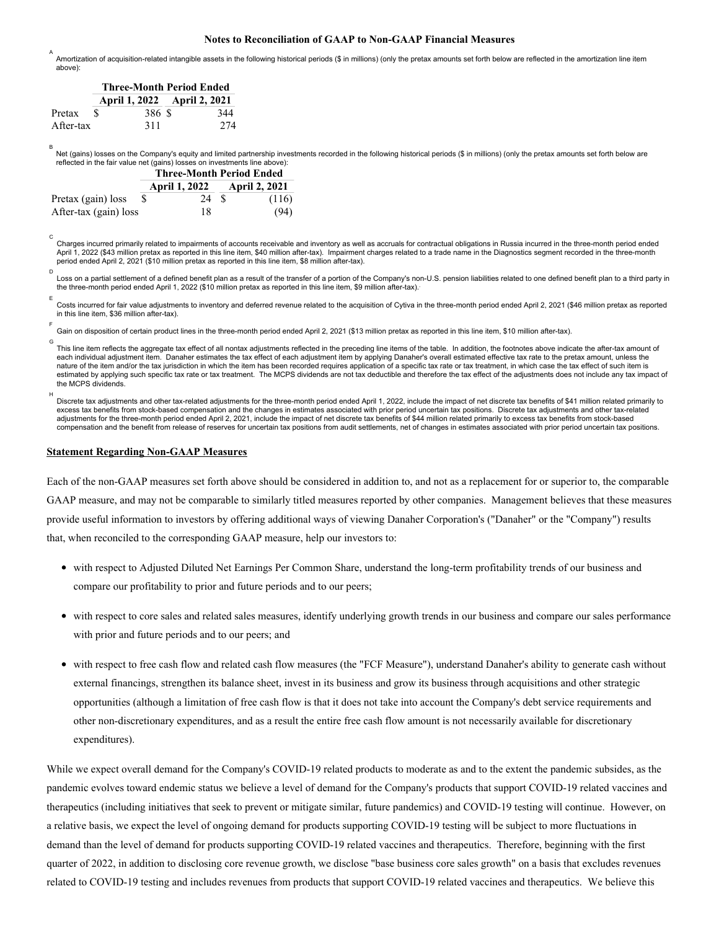#### **Notes to Reconciliation of GAAP to Non-GAAP Financial Measures**

Amortization of acquisition-related intangible assets in the following historical periods (\$ in millions) (only the pretax amounts set forth below are reflected in the amortization line item above): A

|           | <b>Three-Month Period Ended</b> |       |  |                             |
|-----------|---------------------------------|-------|--|-----------------------------|
|           |                                 |       |  | April 1, 2022 April 2, 2021 |
| Pretax    | -8                              | 386 S |  | 344                         |
| After-tax |                                 | 311   |  | 274                         |

C

в<br>Net (gains) losses on the Company's equity and limited partnership investments recorded in the following historical periods (\$ in millions) (only the pretax amounts set forth below are reflected in the fair value net (gains) losses on investments line above):

|                       | <b>Three-Month Period Ended</b> |                             |    |       |
|-----------------------|---------------------------------|-----------------------------|----|-------|
|                       |                                 | April 1, 2022 April 2, 2021 |    |       |
| Pretax (gain) loss    | \$.                             | 24                          | -8 | (116) |
| After-tax (gain) loss |                                 | 18                          |    | (94)  |

Charges incurred primarily related to impairments of accounts receivable and inventory as well as accruals for contractual obligations in Russia incurred in the three-month period ended April 1, 2022 (\$43 million pretax as reported in this line item, \$40 million after-tax). Impairment charges related to a trade name in the Diagnostics segment recorded in the three-month period ended April 2, 2021 (\$10 million pretax as reported in this line item, \$8 million after-tax).

Loss on a partial settlement of a defined benefit plan as a result of the transfer of a portion of the Company's non-U.S. pension liabilities related to one defined benefit plan to a third party in the three-month period ended April 1, 2022 (\$10 million pretax as reported in this line item, \$9 million after-tax). . D

Costs incurred for fair value adiustments to inventory and deferred revenue related to the acquisition of Cytiva in the three-month period ended April 2, 2021 (\$46 million pretax as reported in this line item, \$36 million after-tax). E

Gain on disposition of certain product lines in the three-month period ended April 2, 2021 (\$13 million pretax as reported in this line item, \$10 million after-tax). F

This line item reflects the aggregate tax effect of all nontax adjustments reflected in the preceding line items of the table. In addition, the footnotes above indicate the after-tax amount of G each individual adjustment item. Danaher estimates the tax effect of each adjustment item by applying Danaher's overall estimated effective tax rate to the pretax amount, unless the nature of the item and/or the tax jurisdiction in which the item has been recorded requires application of a specific tax rate or tax treatment, in which case the tax effect of such item is estimated by applying such specific tax rate or tax treatment. The MCPS dividends are not tax deductible and therefore the tax effect of the adjustments does not include any tax impact of the MCPS dividends.

Discrete tax adjustments and other tax-related adjustments for the three-month period ended April 1, 2022, include the impact of net discrete tax benefits of \$41 million related primarily to excess tax benefits from stock-based compensation and the changes in estimates associated with prior period uncertain tax positions. Discrete tax adjustments and other tax-related adjustments for the three-month period ended April 2, 2021, include the impact of net discrete tax benefits of \$44 million related primarily to excess tax benefits from stock-based compensation and the benefit from release of reserves for uncertain tax positions from audit settlements, net of changes in estimates associated with prior period uncertain tax positions. H

#### **Statement Regarding Non-GAAP Measures**

Each of the non-GAAP measures set forth above should be considered in addition to, and not as a replacement for or superior to, the comparable GAAP measure, and may not be comparable to similarly titled measures reported by other companies. Management believes that these measures provide useful information to investors by offering additional ways of viewing Danaher Corporation's ("Danaher" or the "Company") results that, when reconciled to the corresponding GAAP measure, help our investors to:

- with respect to Adjusted Diluted Net Earnings Per Common Share, understand the long-term profitability trends of our business and compare our profitability to prior and future periods and to our peers;
- with respect to core sales and related sales measures, identify underlying growth trends in our business and compare our sales performance with prior and future periods and to our peers; and
- with respect to free cash flow and related cash flow measures (the "FCF Measure"), understand Danaher's ability to generate cash without external financings, strengthen its balance sheet, invest in its business and grow its business through acquisitions and other strategic opportunities (although a limitation of free cash flow is that it does not take into account the Company's debt service requirements and other non-discretionary expenditures, and as a result the entire free cash flow amount is not necessarily available for discretionary expenditures).

While we expect overall demand for the Company's COVID-19 related products to moderate as and to the extent the pandemic subsides, as the pandemic evolves toward endemic status we believe a level of demand for the Company's products that support COVID-19 related vaccines and therapeutics (including initiatives that seek to prevent or mitigate similar, future pandemics) and COVID-19 testing will continue. However, on a relative basis, we expect the level of ongoing demand for products supporting COVID-19 testing will be subject to more fluctuations in demand than the level of demand for products supporting COVID-19 related vaccines and therapeutics. Therefore, beginning with the first quarter of 2022, in addition to disclosing core revenue growth, we disclose "base business core sales growth" on a basis that excludes revenues related to COVID-19 testing and includes revenues from products that support COVID-19 related vaccines and therapeutics. We believe this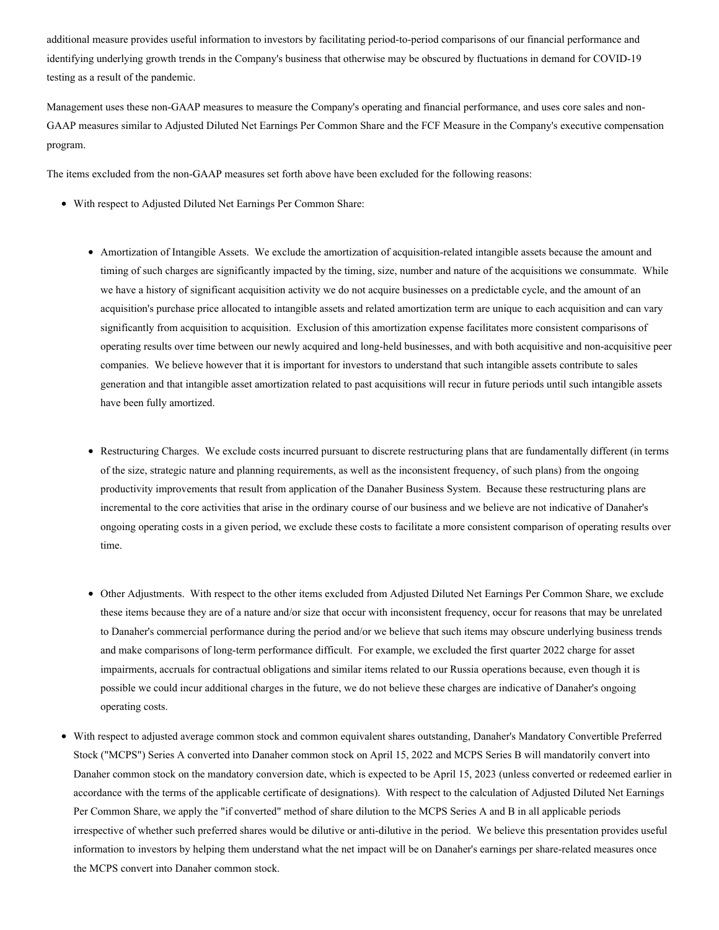additional measure provides useful information to investors by facilitating period-to-period comparisons of our financial performance and identifying underlying growth trends in the Company's business that otherwise may be obscured by fluctuations in demand for COVID-19 testing as a result of the pandemic.

Management uses these non-GAAP measures to measure the Company's operating and financial performance, and uses core sales and non-GAAP measures similar to Adjusted Diluted Net Earnings Per Common Share and the FCF Measure in the Company's executive compensation program.

The items excluded from the non-GAAP measures set forth above have been excluded for the following reasons:

- With respect to Adjusted Diluted Net Earnings Per Common Share:
	- Amortization of Intangible Assets. We exclude the amortization of acquisition-related intangible assets because the amount and timing of such charges are significantly impacted by the timing, size, number and nature of the acquisitions we consummate. While we have a history of significant acquisition activity we do not acquire businesses on a predictable cycle, and the amount of an acquisition's purchase price allocated to intangible assets and related amortization term are unique to each acquisition and can vary significantly from acquisition to acquisition. Exclusion of this amortization expense facilitates more consistent comparisons of operating results over time between our newly acquired and long-held businesses, and with both acquisitive and non-acquisitive peer companies. We believe however that it is important for investors to understand that such intangible assets contribute to sales generation and that intangible asset amortization related to past acquisitions will recur in future periods until such intangible assets have been fully amortized.
	- Restructuring Charges. We exclude costs incurred pursuant to discrete restructuring plans that are fundamentally different (in terms of the size, strategic nature and planning requirements, as well as the inconsistent frequency, of such plans) from the ongoing productivity improvements that result from application of the Danaher Business System. Because these restructuring plans are incremental to the core activities that arise in the ordinary course of our business and we believe are not indicative of Danaher's ongoing operating costs in a given period, we exclude these costs to facilitate a more consistent comparison of operating results over time.
	- Other Adjustments. With respect to the other items excluded from Adjusted Diluted Net Earnings Per Common Share, we exclude these items because they are of a nature and/or size that occur with inconsistent frequency, occur for reasons that may be unrelated to Danaher's commercial performance during the period and/or we believe that such items may obscure underlying business trends and make comparisons of long-term performance difficult. For example, we excluded the first quarter 2022 charge for asset impairments, accruals for contractual obligations and similar items related to our Russia operations because, even though it is possible we could incur additional charges in the future, we do not believe these charges are indicative of Danaher's ongoing operating costs.
- With respect to adjusted average common stock and common equivalent shares outstanding, Danaher's Mandatory Convertible Preferred Stock ("MCPS") Series A converted into Danaher common stock on April 15, 2022 and MCPS Series B will mandatorily convert into Danaher common stock on the mandatory conversion date, which is expected to be April 15, 2023 (unless converted or redeemed earlier in accordance with the terms of the applicable certificate of designations). With respect to the calculation of Adjusted Diluted Net Earnings Per Common Share, we apply the "if converted" method of share dilution to the MCPS Series A and B in all applicable periods irrespective of whether such preferred shares would be dilutive or anti-dilutive in the period. We believe this presentation provides useful information to investors by helping them understand what the net impact will be on Danaher's earnings per share-related measures once the MCPS convert into Danaher common stock.